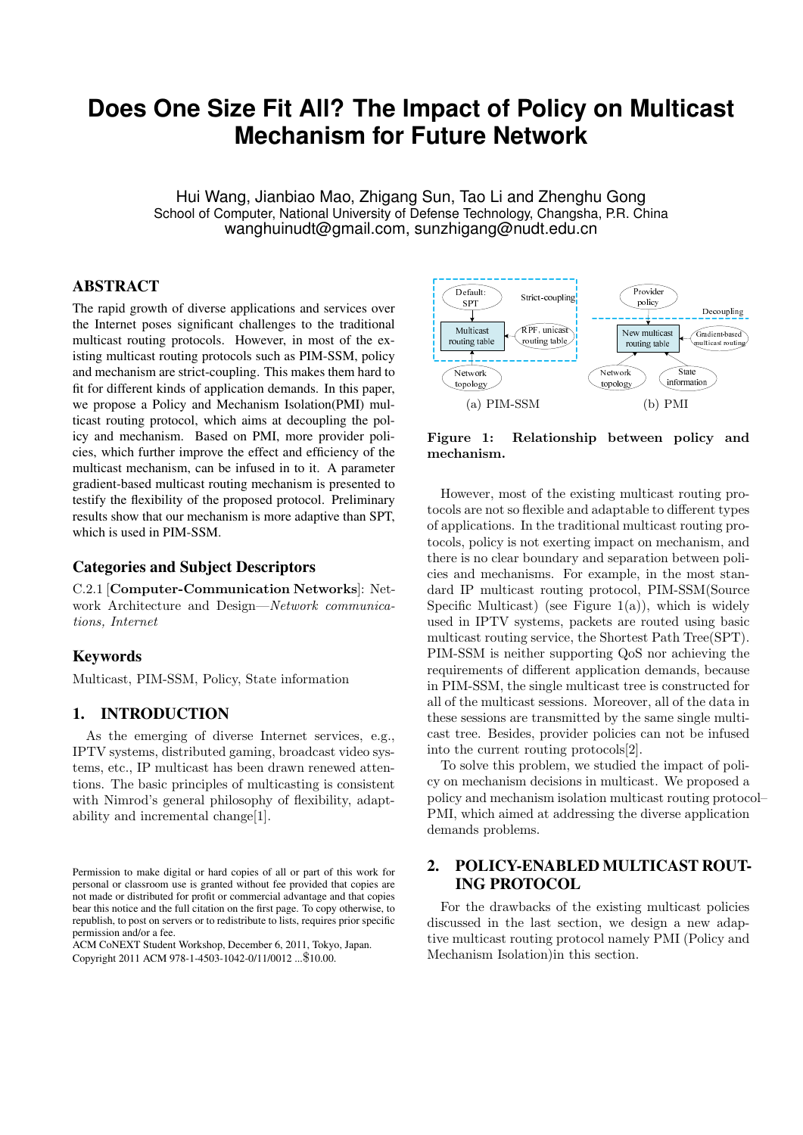# **Does One Size Fit All? The Impact of Policy on Multicast Mechanism for Future Network**

Hui Wang, Jianbiao Mao, Zhigang Sun, Tao Li and Zhenghu Gong School of Computer, National University of Defense Technology, Changsha, P.R. China wanghuinudt@gmail.com, sunzhigang@nudt.edu.cn

#### ABSTRACT

The rapid growth of diverse applications and services over the Internet poses significant challenges to the traditional multicast routing protocols. However, in most of the existing multicast routing protocols such as PIM-SSM, policy and mechanism are strict-coupling. This makes them hard to fit for different kinds of application demands. In this paper, we propose a Policy and Mechanism Isolation(PMI) multicast routing protocol, which aims at decoupling the policy and mechanism. Based on PMI, more provider policies, which further improve the effect and efficiency of the multicast mechanism, can be infused in to it. A parameter gradient-based multicast routing mechanism is presented to testify the flexibility of the proposed protocol. Preliminary results show that our mechanism is more adaptive than SPT, which is used in PIM-SSM. ince interet poses signing<br>and iterations approach and the measure and the measurement of the exaction<br>and mechanism are strict-coupling. This makes them hard to<br>fit for different kinds of application demanas. In this pape

# Categories and Subject Descriptors

C.2.1 [**Computer-Communication Networks**]: Network Architecture and Design—*Network communications, Internet*

#### Keywords

Multicast, PIM-SSM, Policy, State information

### 1. INTRODUCTION

As the emerging of diverse Internet services, e.g., IPTV systems, distributed gaming, broadcast video systems, etc., IP multicast has been drawn renewed attentions. The basic principles of multicasting is consistent with Nimrod's general philosophy of flexibility, adaptability and incremental change[1].

ACM CoNEXT Student Workshop, December 6, 2011, Tokyo, Japan.



**Figure 1: Relationship between policy and mechanism.**

However, most of the existing multicast routing protocols are not so flexible and adaptable to different types of applications. In the traditional multicast routing protocols, policy is not exerting impact on mechanism, and there is no clear boundary and separation between policies and mechanisms. For example, in the most standard IP multicast routing protocol, PIM-SSM(Source Specific Multicast) (see Figure  $1(a)$ ), which is widely used in IPTV systems, packets are routed using basic multicast routing service, the Shortest Path Tree(SPT). PIM-SSM is neither supporting QoS nor achieving the requirements of different application demands, because in PIM-SSM, the single multicast tree is constructed for all of the multicast sessions. Moreover, all of the data in these sessions are transmitted by the same single multicast tree. Besides, provider policies can not be infused into the current routing protocols[2].

To solve this problem, we studied the impact of policy on mechanism decisions in multicast. We proposed a policy and mechanism isolation multicast routing protocol– PMI, which aimed at addressing the diverse application demands problems.

# 2. POLICY-ENABLED MULTICAST ROUT-ING PROTOCOL

For the drawbacks of the existing multicast policies discussed in the last section, we design a new adaptive multicast routing protocol namely PMI (Policy and Mechanism Isolation)in this section.

Permission to make digital or hard copies of all or part of this work for personal or classroom use is granted without fee provided that copies are not made or distributed for profit or commercial advantage and that copies bear this notice and the full citation on the first page. To copy otherwise, to republish, to post on servers or to redistribute to lists, requires prior specific permission and/or a fee.